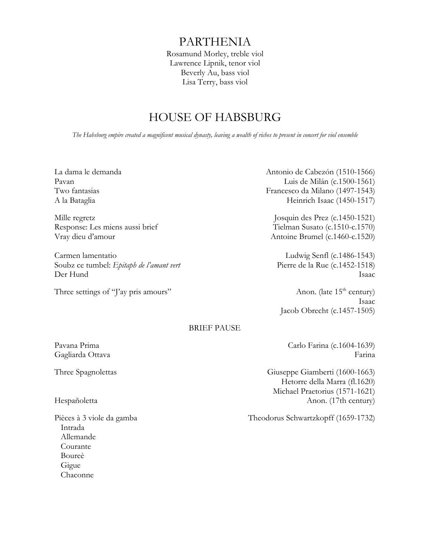# PARTHENIA

Rosamund Morley, treble viol Lawrence Lipnik, tenor viol Beverly Au, bass viol Lisa Terry, bass viol

## HOUSE OF HABSBURG

*The Habsburg empire created a magnificent musical dynasty, leaving a wealth of riches to present in concert for viol ensemble*

Carmen lamentatio Ludwig Senfl (c.1486-1543) Soubz ce tumbel: *Epitaph de l'amant vert* Pierre de la Rue (c.1452-1518) Der Hund Isaac

Three settings of "J'ay pris amours" Anon. (late 15<sup>th</sup> century)

La dama le demanda Antonio de Cabezón (1510-1566) Pavan Luis de Milán (c.1500-1561) Two fantasias Francesco da Milano (1497-1543) A la Bataglia Heinrich Isaac (1450-1517)

Mille regretz Josquin des Prez (c.1450-1521) Response: Les miens aussi brief Tielman Susato (c.1510-c.1570) Vray dieu d'amour Antoine Brumel (c.1460-c.1520)

Isaac Jacob Obrecht (c.1457-1505)

## BRIEF PAUSE

Pièces à 3 viole da gamba Intrada Allemande Courante Boureè Gigue Chaconne

Pavana Prima  $C$ arlo Farina (c.1604-1639) Gagliarda Ottava Farina

Three Spagnolettas Giuseppe Giamberti (1600-1663) Hetorre della Marra (fl.1620) Michael Praetorius (1571-1621) Hespañoletta Anon. (17th century)

Theodorus Schwartzkopff (1659-1732)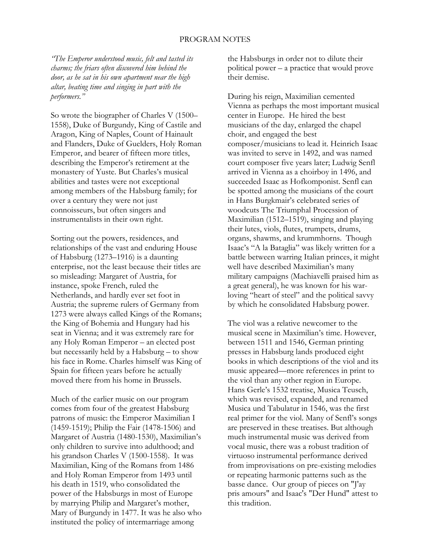#### PROGRAM NOTES

*"The Emperor understood music, felt and tasted its charms; the friars often discovered him behind the door, as he sat in his own apartment near the high altar, beating time and singing in part with the performers."*

So wrote the biographer of Charles V (1500– 1558), Duke of Burgundy, King of Castile and Aragon, King of Naples, Count of Hainault and Flanders, Duke of Guelders, Holy Roman Emperor, and bearer of fifteen more titles, describing the Emperor's retirement at the monastery of Yuste. But Charles's musical abilities and tastes were not exceptional among members of the Habsburg family; for over a century they were not just connoisseurs, but often singers and instrumentalists in their own right.

Sorting out the powers, residences, and relationships of the vast and enduring House of Habsburg (1273–1916) is a daunting enterprise, not the least because their titles are so misleading: Margaret of Austria, for instance, spoke French, ruled the Netherlands, and hardly ever set foot in Austria; the supreme rulers of Germany from 1273 were always called Kings of the Romans; the King of Bohemia and Hungary had his seat in Vienna; and it was extremely rare for any Holy Roman Emperor – an elected post but necessarily held by a Habsburg – to show his face in Rome. Charles himself was King of Spain for fifteen years before he actually moved there from his home in Brussels.

Much of the earlier music on our program comes from four of the greatest Habsburg patrons of music: the Emperor Maximilian I (1459-1519); Philip the Fair (1478-1506) and Margaret of Austria (1480-1530), Maximilian's only children to survive into adulthood; and his grandson Charles V (1500-1558). It was Maximilian, King of the Romans from 1486 and Holy Roman Emperor from 1493 until his death in 1519, who consolidated the power of the Habsburgs in most of Europe by marrying Philip and Margaret's mother, Mary of Burgundy in 1477. It was he also who instituted the policy of intermarriage among

the Habsburgs in order not to dilute their political power – a practice that would prove their demise.

During his reign, Maximilian cemented Vienna as perhaps the most important musical center in Europe. He hired the best musicians of the day, enlarged the chapel choir, and engaged the best composer/musicians to lead it. Heinrich Isaac was invited to serve in 1492, and was named court composer five years later; Ludwig Senfl arrived in Vienna as a choirboy in 1496, and succeeded Isaac as Hofkomponist. Senfl can be spotted among the musicians of the court in Hans Burgkmair's celebrated series of woodcuts The Triumphal Procession of Maximilian (1512–1519), singing and playing their lutes, viols, flutes, trumpets, drums, organs, shawms, and krummhorns. Though Isaac's "A la Bataglia" was likely written for a battle between warring Italian princes, it might well have described Maximilian's many military campaigns (Machiavelli praised him as a great general), he was known for his warloving "heart of steel" and the political savvy by which he consolidated Habsburg power.

The viol was a relative newcomer to the musical scene in Maximilian's time. However, between 1511 and 1546, German printing presses in Habsburg lands produced eight books in which descriptions of the viol and its music appeared—more references in print to the viol than any other region in Europe. Hans Gerle's 1532 treatise, Musica Teusch, which was revised, expanded, and renamed Musica und Tabulatur in 1546, was the first real primer for the viol. Many of Senfl's songs are preserved in these treatises. But although much instrumental music was derived from vocal music, there was a robust tradition of virtuoso instrumental performance derived from improvisations on pre-existing melodies or repeating harmonic patterns such as the basse dance. Our group of pieces on "J'ay pris amours" and Isaac's "Der Hund" attest to this tradition.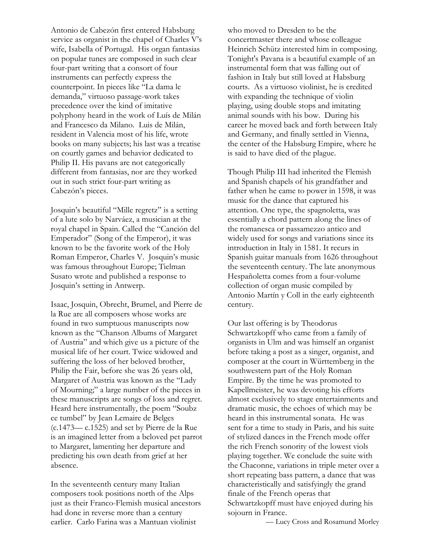Antonio de Cabezón first entered Habsburg service as organist in the chapel of Charles V's wife, Isabella of Portugal. His organ fantasias on popular tunes are composed in such clear four-part writing that a consort of four instruments can perfectly express the counterpoint. In pieces like "La dama le demanda," virtuoso passage-work takes precedence over the kind of imitative polyphony heard in the work of Luís de Milán and Francesco da Milano. Luis de Milán, resident in Valencia most of his life, wrote books on many subjects; his last was a treatise on courtly games and behavior dedicated to Philip II. His pavans are not categorically different from fantasias, nor are they worked out in such strict four-part writing as Cabezón's pieces.

Josquin's beautiful "Mille regretz" is a setting of a lute solo by Narváez, a musician at the royal chapel in Spain. Called the "Canción del Emperador" (Song of the Emperor), it was known to be the favorite work of the Holy Roman Emperor, Charles V. Josquin's music was famous throughout Europe; Tielman Susato wrote and published a response to Josquin's setting in Antwerp.

Isaac, Josquin, Obrecht, Brumel, and Pierre de la Rue are all composers whose works are found in two sumptuous manuscripts now known as the "Chanson Albums of Margaret of Austria" and which give us a picture of the musical life of her court. Twice widowed and suffering the loss of her beloved brother, Philip the Fair, before she was 26 years old, Margaret of Austria was known as the "Lady of Mourning;" a large number of the pieces in these manuscripts are songs of loss and regret. Heard here instrumentally, the poem "Soubz ce tumbel" by Jean Lemaire de Belges (c.1473— c.1525) and set by Pierre de la Rue is an imagined letter from a beloved pet parrot to Margaret, lamenting her departure and predicting his own death from grief at her absence.

In the seventeenth century many Italian composers took positions north of the Alps just as their Franco-Flemish musical ancestors had done in reverse more than a century earlier. Carlo Farina was a Mantuan violinist

who moved to Dresden to be the concertmaster there and whose colleague Heinrich Schütz interested him in composing. Tonight's Pavana is a beautiful example of an instrumental form that was falling out of fashion in Italy but still loved at Habsburg courts. As a virtuoso violinist, he is credited with expanding the technique of violin playing, using double stops and imitating animal sounds with his bow. During his career he moved back and forth between Italy and Germany, and finally settled in Vienna, the center of the Habsburg Empire, where he is said to have died of the plague.

Though Philip III had inherited the Flemish and Spanish chapels of his grandfather and father when he came to power in 1598, it was music for the dance that captured his attention. One type, the spagnoletta, was essentially a chord pattern along the lines of the romanesca or passamezzo antico and widely used for songs and variations since its introduction in Italy in 1581. It recurs in Spanish guitar manuals from 1626 throughout the seventeenth century. The late anonymous Hespañoletta comes from a four-volume collection of organ music compiled by Antonio Martín y Coll in the early eighteenth century.

Our last offering is by Theodorus Schwartzkopff who came from a family of organists in Ulm and was himself an organist before taking a post as a singer, organist, and composer at the court in Württemberg in the southwestern part of the Holy Roman Empire. By the time he was promoted to Kapellmeister, he was devoting his efforts almost exclusively to stage entertainments and dramatic music, the echoes of which may be heard in this instrumental sonata. He was sent for a time to study in Paris, and his suite of stylized dances in the French mode offer the rich French sonority of the lowest viols playing together. We conclude the suite with the Chaconne, variations in triple meter over a short repeating bass pattern, a dance that was characteristically and satisfyingly the grand finale of the French operas that Schwartzkopff must have enjoyed during his sojourn in France.

— Lucy Cross and Rosamund Morley